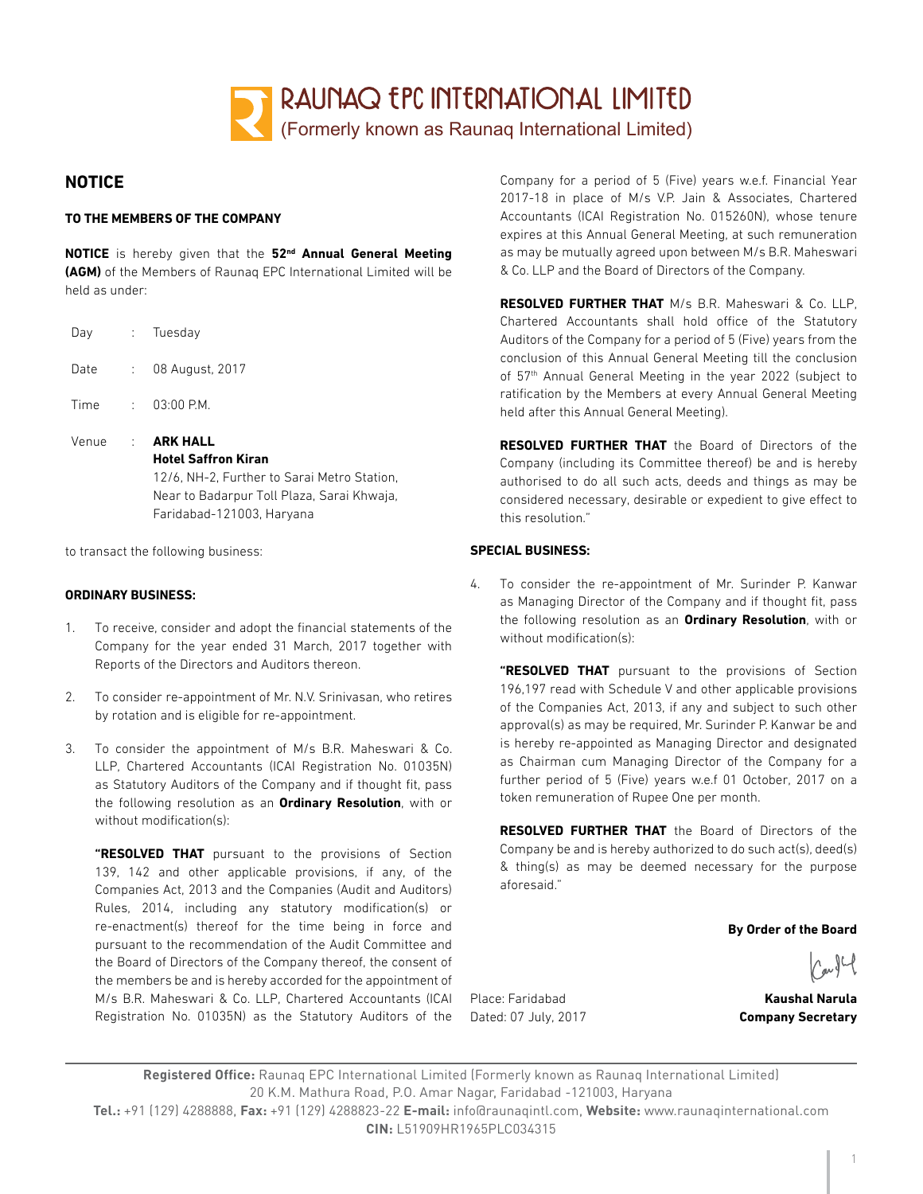

# **NOTICE**

#### **TO THE MEMBERS OF THE COMPANY**

**NOTICE** is hereby given that the **52nd Annual General Meeting (AGM)** of the Members of Raunaq EPC International Limited will be held as under:

| Day   |                 | : Tuesday                                                                                                                                                               |
|-------|-----------------|-------------------------------------------------------------------------------------------------------------------------------------------------------------------------|
| Date  | <b>Control</b>  | 08 August, 2017                                                                                                                                                         |
| Time  |                 | $: 03:00$ P.M.                                                                                                                                                          |
| Venue | <b>Contract</b> | <b>ARK HALL</b><br><b>Hotel Saffron Kiran</b><br>12/6, NH-2, Further to Sarai Metro Station,<br>Near to Badarpur Toll Plaza, Sarai Khwaja,<br>Faridabad-121003, Haryana |

to transact the following business:

#### **ORDINARY BUSINESS:**

- 1. To receive, consider and adopt the financial statements of the Company for the year ended 31 March, 2017 together with Reports of the Directors and Auditors thereon.
- 2. To consider re-appointment of Mr. N.V. Srinivasan, who retires by rotation and is eligible for re-appointment.
- 3. To consider the appointment of M/s B.R. Maheswari & Co. LLP, Chartered Accountants (ICAI Registration No. 01035N) as Statutory Auditors of the Company and if thought fit, pass the following resolution as an **Ordinary Resolution**, with or without modification(s):

**"RESOLVED THAT** pursuant to the provisions of Section 139, 142 and other applicable provisions, if any, of the Companies Act, 2013 and the Companies (Audit and Auditors) Rules, 2014, including any statutory modification(s) or re-enactment(s) thereof for the time being in force and pursuant to the recommendation of the Audit Committee and the Board of Directors of the Company thereof, the consent of the members be and is hereby accorded for the appointment of M/s B.R. Maheswari & Co. LLP, Chartered Accountants (ICAI Registration No. 01035N) as the Statutory Auditors of the

Company for a period of 5 (Five) years w.e.f. Financial Year 2017-18 in place of M/s V.P. Jain & Associates, Chartered Accountants (ICAI Registration No. 015260N), whose tenure expires at this Annual General Meeting, at such remuneration as may be mutually agreed upon between M/s B.R. Maheswari & Co. LLP and the Board of Directors of the Company.

**RESOLVED FURTHER THAT** M/s B.R. Maheswari & Co. LLP, Chartered Accountants shall hold office of the Statutory Auditors of the Company for a period of 5 (Five) years from the conclusion of this Annual General Meeting till the conclusion of 57<sup>th</sup> Annual General Meeting in the year 2022 (subject to ratification by the Members at every Annual General Meeting held after this Annual General Meeting).

**RESOLVED FURTHER THAT** the Board of Directors of the Company (including its Committee thereof) be and is hereby authorised to do all such acts, deeds and things as may be considered necessary, desirable or expedient to give effect to this resolution."

#### **SPECIAL BUSINESS:**

4. To consider the re-appointment of Mr. Surinder P. Kanwar as Managing Director of the Company and if thought fit, pass the following resolution as an **Ordinary Resolution**, with or without modification(s):

**"RESOLVED THAT** pursuant to the provisions of Section 196,197 read with Schedule V and other applicable provisions of the Companies Act, 2013, if any and subject to such other approval(s) as may be required, Mr. Surinder P. Kanwar be and is hereby re-appointed as Managing Director and designated as Chairman cum Managing Director of the Company for a further period of 5 (Five) years w.e.f 01 October, 2017 on a token remuneration of Rupee One per month.

**RESOLVED FURTHER THAT** the Board of Directors of the Company be and is hereby authorized to do such act(s), deed(s) & thing(s) as may be deemed necessary for the purpose aforesaid."

**By Order of the Board**

Place: Faridabad **Kaushal Narula** Dated: 07 July, 2017 **Company Secretary** 

**Registered Office:** Raunaq EPC International Limited (Formerly known as Raunaq International Limited) 20 K.M. Mathura Road, P.O. Amar Nagar, Faridabad -121003, Haryana **Tel.:** +91 (129) 4288888, **Fax:** +91 (129) 4288823-22 **E-mail:** info@raunaqintl.com, **Website:** www.raunaqinternational.com **CIN:** L51909HR1965PLC034315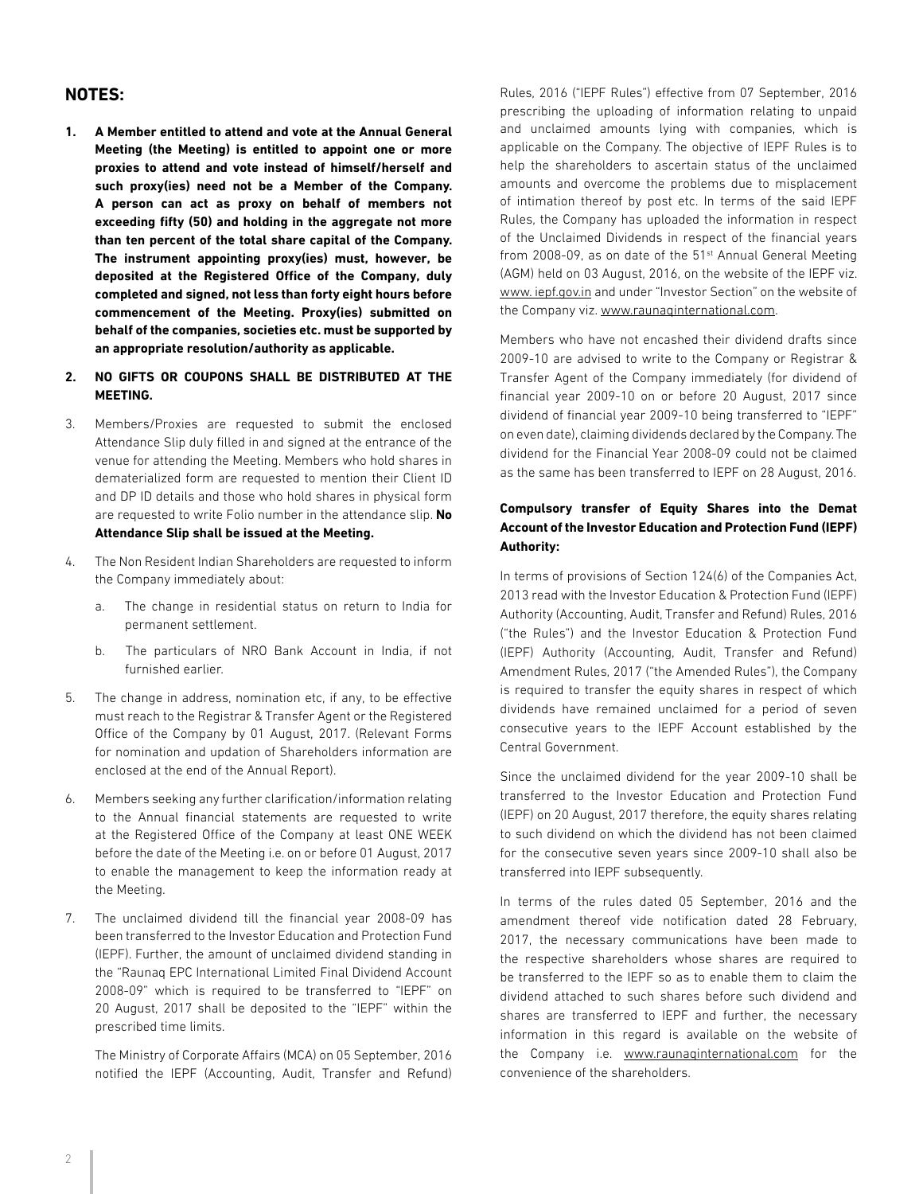## **NOTES:**

**1. A Member entitled to attend and vote at the Annual General Meeting (the Meeting) is entitled to appoint one or more proxies to attend and vote instead of himself/herself and such proxy(ies) need not be a Member of the Company. A person can act as proxy on behalf of members not exceeding fifty (50) and holding in the aggregate not more than ten percent of the total share capital of the Company. The instrument appointing proxy(ies) must, however, be deposited at the Registered Office of the Company, duly completed and signed, not less than forty eight hours before commencement of the Meeting. Proxy(ies) submitted on behalf of the companies, societies etc. must be supported by an appropriate resolution/authority as applicable.**

#### **2. NO GIFTS OR COUPONS SHALL BE DISTRIBUTED AT THE MEETING.**

- 3. Members/Proxies are requested to submit the enclosed Attendance Slip duly filled in and signed at the entrance of the venue for attending the Meeting. Members who hold shares in dematerialized form are requested to mention their Client ID and DP ID details and those who hold shares in physical form are requested to write Folio number in the attendance slip. **No Attendance Slip shall be issued at the Meeting.**
- 4. The Non Resident Indian Shareholders are requested to inform the Company immediately about:
	- a. The change in residential status on return to India for permanent settlement.
	- b. The particulars of NRO Bank Account in India, if not furnished earlier.
- 5. The change in address, nomination etc, if any, to be effective must reach to the Registrar & Transfer Agent or the Registered Office of the Company by 01 August, 2017. (Relevant Forms for nomination and updation of Shareholders information are enclosed at the end of the Annual Report).
- 6. Members seeking any further clarification/information relating to the Annual financial statements are requested to write at the Registered Office of the Company at least ONE WEEK before the date of the Meeting i.e. on or before 01 August, 2017 to enable the management to keep the information ready at the Meeting.
- 7. The unclaimed dividend till the financial year 2008-09 has been transferred to the Investor Education and Protection Fund (IEPF). Further, the amount of unclaimed dividend standing in the "Raunaq EPC International Limited Final Dividend Account 2008-09" which is required to be transferred to "IEPF" on 20 August, 2017 shall be deposited to the "IEPF" within the prescribed time limits.

The Ministry of Corporate Affairs (MCA) on 05 September, 2016 notified the IEPF (Accounting, Audit, Transfer and Refund)

Rules, 2016 ("IEPF Rules") effective from 07 September, 2016 prescribing the uploading of information relating to unpaid and unclaimed amounts lying with companies, which is applicable on the Company. The objective of IEPF Rules is to help the shareholders to ascertain status of the unclaimed amounts and overcome the problems due to misplacement of intimation thereof by post etc. In terms of the said IEPF Rules, the Company has uploaded the information in respect of the Unclaimed Dividends in respect of the financial years from 2008-09, as on date of the 51<sup>st</sup> Annual General Meeting (AGM) held on 03 August, 2016, on the website of the IEPF viz. www. iepf.gov.in and under "Investor Section" on the website of the Company viz. www.raunaqinternational.com.

Members who have not encashed their dividend drafts since 2009-10 are advised to write to the Company or Registrar & Transfer Agent of the Company immediately (for dividend of financial year 2009-10 on or before 20 August, 2017 since dividend of financial year 2009-10 being transferred to "IEPF" on even date), claiming dividends declared by the Company. The dividend for the Financial Year 2008-09 could not be claimed as the same has been transferred to IEPF on 28 August, 2016.

## **Compulsory transfer of Equity Shares into the Demat Account of the Investor Education and Protection Fund (IEPF) Authority:**

In terms of provisions of Section 124(6) of the Companies Act, 2013 read with the Investor Education & Protection Fund (IEPF) Authority (Accounting, Audit, Transfer and Refund) Rules, 2016 ("the Rules") and the Investor Education & Protection Fund (IEPF) Authority (Accounting, Audit, Transfer and Refund) Amendment Rules, 2017 ("the Amended Rules"), the Company is required to transfer the equity shares in respect of which dividends have remained unclaimed for a period of seven consecutive years to the IEPF Account established by the Central Government.

Since the unclaimed dividend for the year 2009-10 shall be transferred to the Investor Education and Protection Fund (IEPF) on 20 August, 2017 therefore, the equity shares relating to such dividend on which the dividend has not been claimed for the consecutive seven years since 2009-10 shall also be transferred into IEPF subsequently.

In terms of the rules dated 05 September, 2016 and the amendment thereof vide notification dated 28 February, 2017, the necessary communications have been made to the respective shareholders whose shares are required to be transferred to the IEPF so as to enable them to claim the dividend attached to such shares before such dividend and shares are transferred to IEPF and further, the necessary information in this regard is available on the website of the Company i.e. www.raunaqinternational.com for the convenience of the shareholders.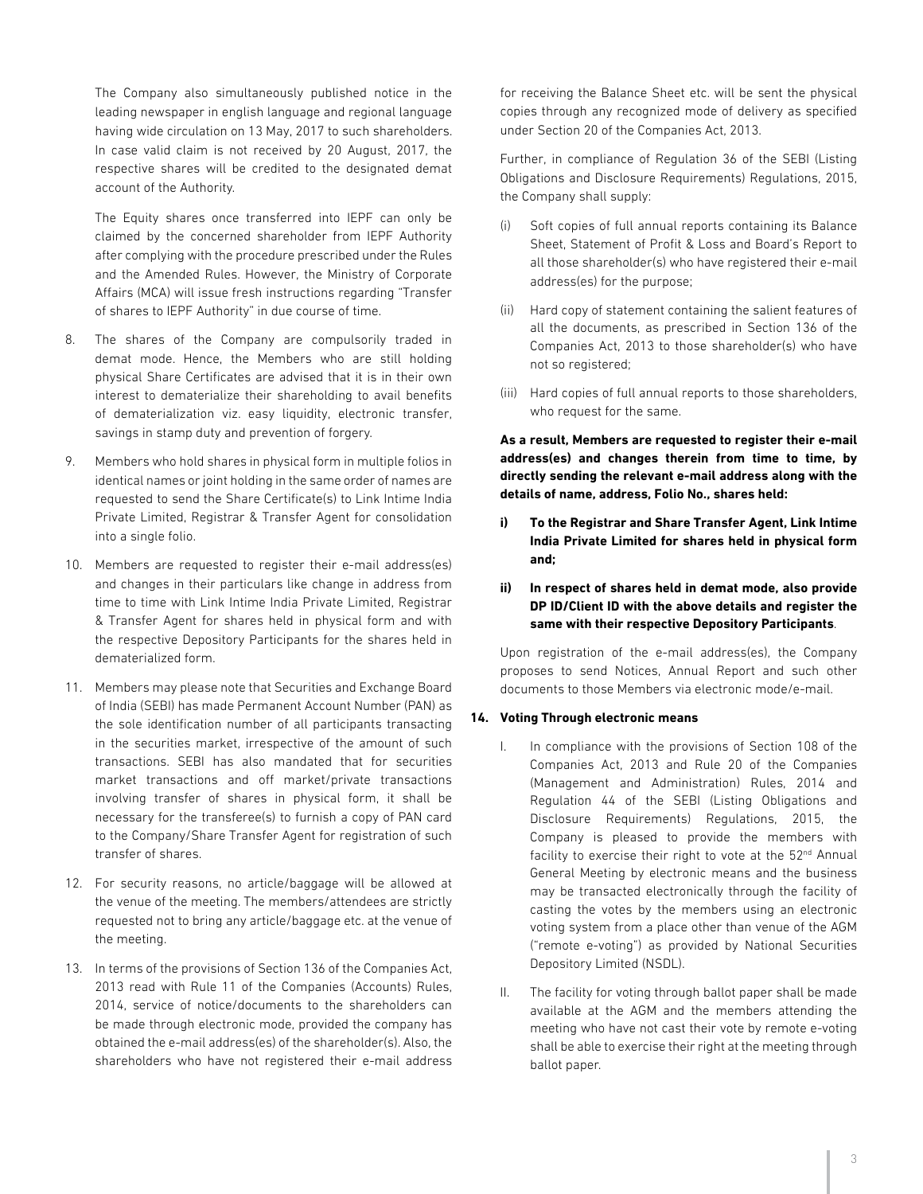The Company also simultaneously published notice in the leading newspaper in english language and regional language having wide circulation on 13 May, 2017 to such shareholders. In case valid claim is not received by 20 August, 2017, the respective shares will be credited to the designated demat account of the Authority.

The Equity shares once transferred into IEPF can only be claimed by the concerned shareholder from IEPF Authority after complying with the procedure prescribed under the Rules and the Amended Rules. However, the Ministry of Corporate Affairs (MCA) will issue fresh instructions regarding "Transfer of shares to IEPF Authority" in due course of time.

- 8. The shares of the Company are compulsorily traded in demat mode. Hence, the Members who are still holding physical Share Certificates are advised that it is in their own interest to dematerialize their shareholding to avail benefits of dematerialization viz. easy liquidity, electronic transfer, savings in stamp duty and prevention of forgery.
- 9. Members who hold shares in physical form in multiple folios in identical names or joint holding in the same order of names are requested to send the Share Certificate(s) to Link Intime India Private Limited, Registrar & Transfer Agent for consolidation into a single folio.
- 10. Members are requested to register their e-mail address(es) and changes in their particulars like change in address from time to time with Link Intime India Private Limited, Registrar & Transfer Agent for shares held in physical form and with the respective Depository Participants for the shares held in dematerialized form.
- 11. Members may please note that Securities and Exchange Board of India (SEBI) has made Permanent Account Number (PAN) as the sole identification number of all participants transacting in the securities market, irrespective of the amount of such transactions. SEBI has also mandated that for securities market transactions and off market/private transactions involving transfer of shares in physical form, it shall be necessary for the transferee(s) to furnish a copy of PAN card to the Company/Share Transfer Agent for registration of such transfer of shares.
- 12. For security reasons, no article/baggage will be allowed at the venue of the meeting. The members/attendees are strictly requested not to bring any article/baggage etc. at the venue of the meeting.
- 13. In terms of the provisions of Section 136 of the Companies Act, 2013 read with Rule 11 of the Companies (Accounts) Rules, 2014, service of notice/documents to the shareholders can be made through electronic mode, provided the company has obtained the e-mail address(es) of the shareholder(s). Also, the shareholders who have not registered their e-mail address

for receiving the Balance Sheet etc. will be sent the physical copies through any recognized mode of delivery as specified under Section 20 of the Companies Act, 2013.

Further, in compliance of Regulation 36 of the SEBI (Listing Obligations and Disclosure Requirements) Regulations, 2015, the Company shall supply:

- (i) Soft copies of full annual reports containing its Balance Sheet, Statement of Profit & Loss and Board's Report to all those shareholder(s) who have registered their e-mail address(es) for the purpose;
- (ii) Hard copy of statement containing the salient features of all the documents, as prescribed in Section 136 of the Companies Act, 2013 to those shareholder(s) who have not so registered;
- (iii) Hard copies of full annual reports to those shareholders, who request for the same.

**As a result, Members are requested to register their e-mail address(es) and changes therein from time to time, by directly sending the relevant e-mail address along with the details of name, address, Folio No., shares held:**

- **i) To the Registrar and Share Transfer Agent, Link Intime India Private Limited for shares held in physical form and;**
- **ii) In respect of shares held in demat mode, also provide DP ID/Client ID with the above details and register the same with their respective Depository Participants**.

Upon registration of the e-mail address(es), the Company proposes to send Notices, Annual Report and such other documents to those Members via electronic mode/e-mail.

#### **14. Voting Through electronic means**

- I. In compliance with the provisions of Section 108 of the Companies Act, 2013 and Rule 20 of the Companies (Management and Administration) Rules, 2014 and Regulation 44 of the SEBI (Listing Obligations and Disclosure Requirements) Regulations, 2015, the Company is pleased to provide the members with facility to exercise their right to vote at the  $52<sup>nd</sup>$  Annual General Meeting by electronic means and the business may be transacted electronically through the facility of casting the votes by the members using an electronic voting system from a place other than venue of the AGM ("remote e-voting") as provided by National Securities Depository Limited (NSDL).
- II. The facility for voting through ballot paper shall be made available at the AGM and the members attending the meeting who have not cast their vote by remote e-voting shall be able to exercise their right at the meeting through ballot paper.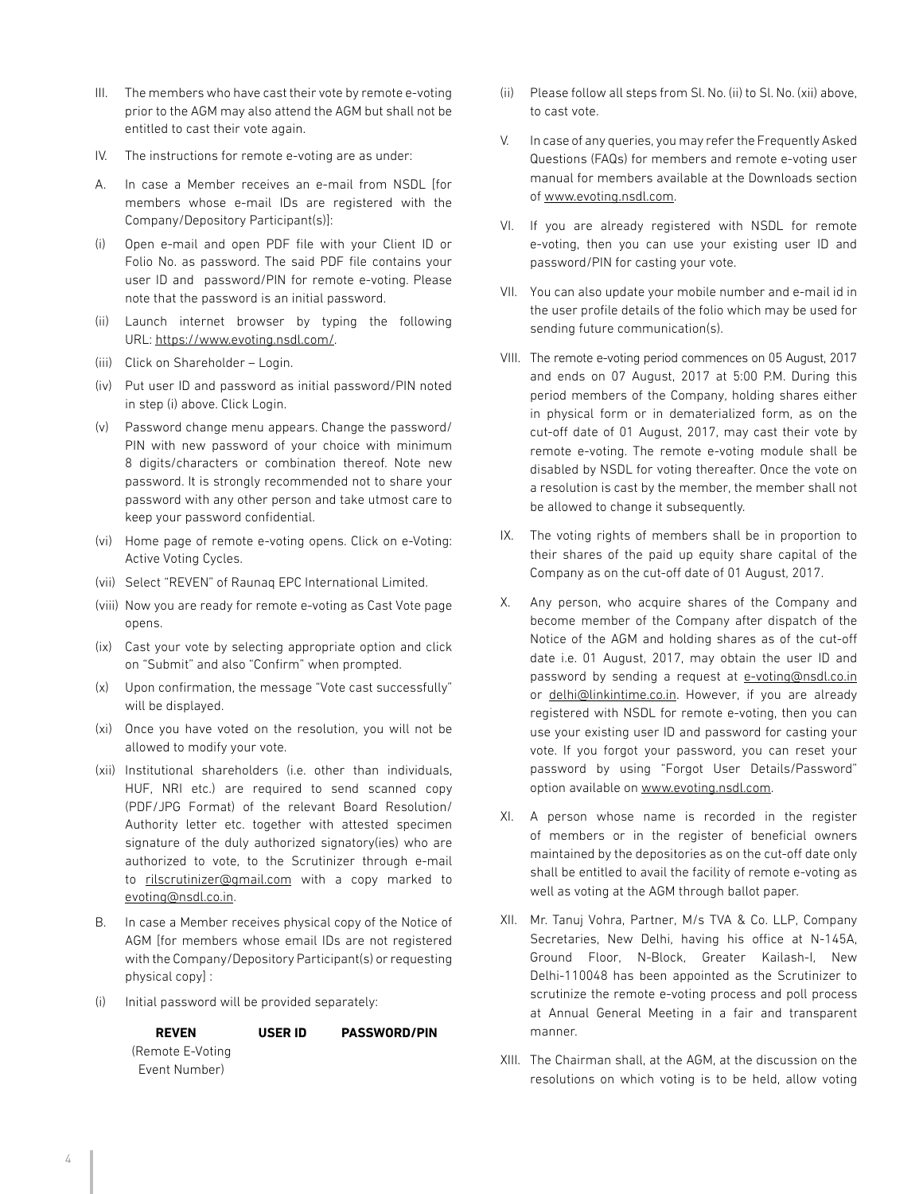- III. The members who have cast their vote by remote e-voting prior to the AGM may also attend the AGM but shall not be entitled to cast their vote again.
- IV. The instructions for remote e-voting are as under:
- A. In case a Member receives an e-mail from NSDL [for members whose e-mail IDs are registered with the Company/Depository Participant(s)]:
- (i) Open e-mail and open PDF file with your Client ID or Folio No. as password. The said PDF file contains your user ID and password/PIN for remote e-voting. Please note that the password is an initial password.
- (ii) Launch internet browser by typing the following URL: https://www.evoting.nsdl.com/.
- (iii) Click on Shareholder Login.
- (iv) Put user ID and password as initial password/PIN noted in step (i) above. Click Login.
- (v) Password change menu appears. Change the password/ PIN with new password of your choice with minimum 8 digits/characters or combination thereof. Note new password. It is strongly recommended not to share your password with any other person and take utmost care to keep your password confidential.
- (vi) Home page of remote e-voting opens. Click on e-Voting: Active Voting Cycles.
- (vii) Select "REVEN" of Raunaq EPC International Limited.
- (viii) Now you are ready for remote e-voting as Cast Vote page opens.
- (ix) Cast your vote by selecting appropriate option and click on "Submit" and also "Confirm" when prompted.
- (x) Upon confirmation, the message "Vote cast successfully" will be displayed.
- (xi) Once you have voted on the resolution, you will not be allowed to modify your vote.
- (xii) Institutional shareholders (i.e. other than individuals, HUF, NRI etc.) are required to send scanned copy (PDF/JPG Format) of the relevant Board Resolution/ Authority letter etc. together with attested specimen signature of the duly authorized signatory(ies) who are authorized to vote, to the Scrutinizer through e-mail to rilscrutinizer@gmail.com with a copy marked to evoting@nsdl.co.in.
- B. In case a Member receives physical copy of the Notice of AGM [for members whose email IDs are not registered with the Company/Depository Participant(s) or requesting physical copy] :
- (i) Initial password will be provided separately:

**USER ID PASSWORD/PIN**

 **REVEN** (Remote E-Voting Event Number)

- (ii) Please follow all steps from Sl. No. (ii) to Sl. No. (xii) above, to cast vote.
- V. In case of any queries, you may refer the Frequently Asked Questions (FAQs) for members and remote e-voting user manual for members available at the Downloads section of www.evoting.nsdl.com.
- VI. If you are already registered with NSDL for remote e-voting, then you can use your existing user ID and password/PIN for casting your vote.
- VII. You can also update your mobile number and e-mail id in the user profile details of the folio which may be used for sending future communication(s).
- VIII. The remote e-voting period commences on 05 August, 2017 and ends on 07 August, 2017 at 5:00 P.M. During this period members of the Company, holding shares either in physical form or in dematerialized form, as on the cut-off date of 01 August, 2017, may cast their vote by remote e-voting. The remote e-voting module shall be disabled by NSDL for voting thereafter. Once the vote on a resolution is cast by the member, the member shall not be allowed to change it subsequently.
- IX. The voting rights of members shall be in proportion to their shares of the paid up equity share capital of the Company as on the cut-off date of 01 August, 2017.
- X. Any person, who acquire shares of the Company and become member of the Company after dispatch of the Notice of the AGM and holding shares as of the cut-off date i.e. 01 August, 2017, may obtain the user ID and password by sending a request at e-voting@nsdl.co.in or delhi@linkintime.co.in. However, if you are already registered with NSDL for remote e-voting, then you can use your existing user ID and password for casting your vote. If you forgot your password, you can reset your password by using "Forgot User Details/Password" option available on www.evoting.nsdl.com.
- XI. A person whose name is recorded in the register of members or in the register of beneficial owners maintained by the depositories as on the cut-off date only shall be entitled to avail the facility of remote e-voting as well as voting at the AGM through ballot paper.
- XII. Mr. Tanuj Vohra, Partner, M/s TVA & Co. LLP, Company Secretaries, New Delhi, having his office at N-145A, Ground Floor, N-Block, Greater Kailash-I, New Delhi-110048 has been appointed as the Scrutinizer to scrutinize the remote e-voting process and poll process at Annual General Meeting in a fair and transparent manner.
- XIII. The Chairman shall, at the AGM, at the discussion on the resolutions on which voting is to be held, allow voting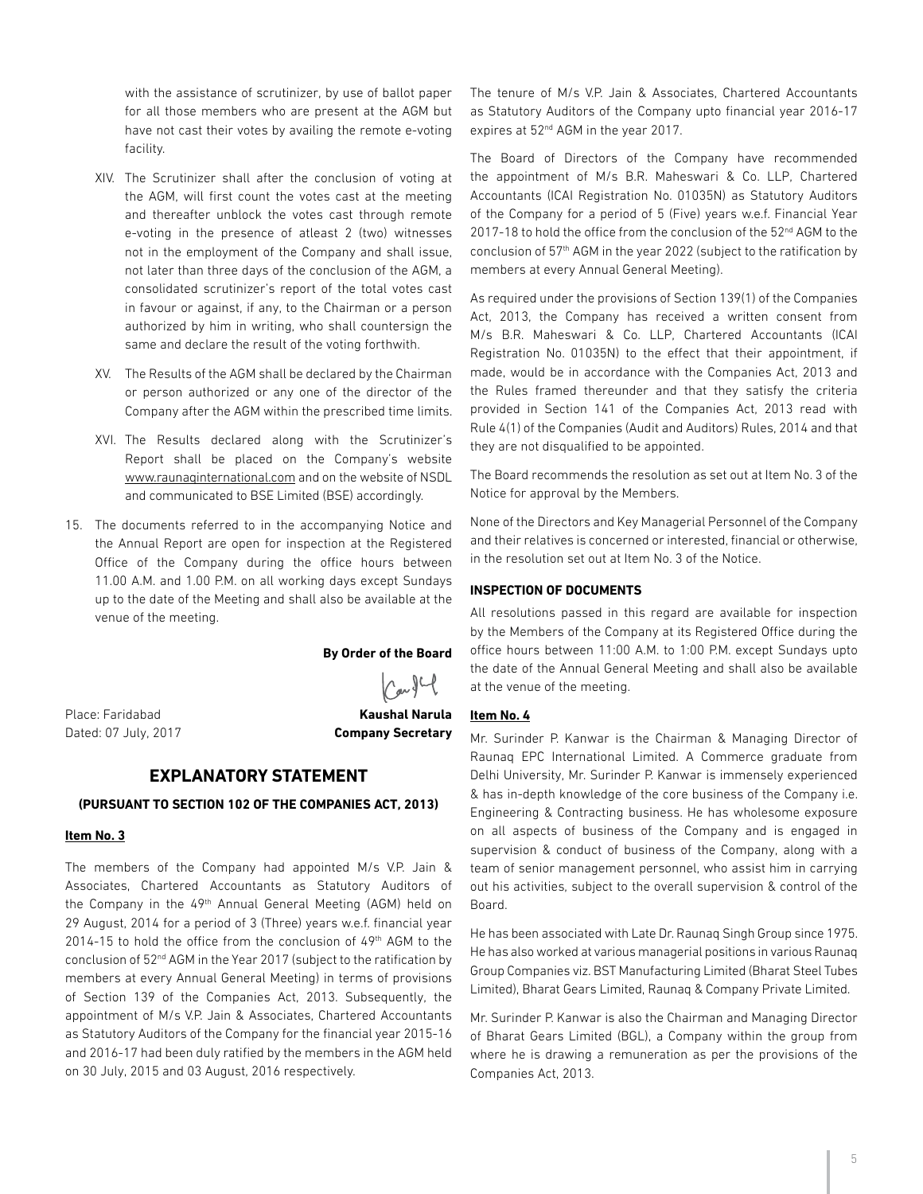with the assistance of scrutinizer, by use of ballot paper for all those members who are present at the AGM but have not cast their votes by availing the remote e-voting facility.

- XIV. The Scrutinizer shall after the conclusion of voting at the AGM, will first count the votes cast at the meeting and thereafter unblock the votes cast through remote e-voting in the presence of atleast 2 (two) witnesses not in the employment of the Company and shall issue, not later than three days of the conclusion of the AGM, a consolidated scrutinizer's report of the total votes cast in favour or against, if any, to the Chairman or a person authorized by him in writing, who shall countersign the same and declare the result of the voting forthwith.
- XV. The Results of the AGM shall be declared by the Chairman or person authorized or any one of the director of the Company after the AGM within the prescribed time limits.
- XVI. The Results declared along with the Scrutinizer's Report shall be placed on the Company's website www.raunaqinternational.com and on the website of NSDL and communicated to BSE Limited (BSE) accordingly.
- 15. The documents referred to in the accompanying Notice and the Annual Report are open for inspection at the Registered Office of the Company during the office hours between 11.00 A.M. and 1.00 P.M. on all working days except Sundays up to the date of the Meeting and shall also be available at the venue of the meeting.

**By Order of the Board**

 $\int$ arg $C$ 

Place: Faridabad **Kaushal Narula** 

# Dated: 07 July, 2017 **Company Secretary**

## **EXPLANATORY STATEMENT**

### **(PURSUANT TO SECTION 102 OF THE COMPANIES ACT, 2013)**

#### **Item No. 3**

The members of the Company had appointed M/s V.P. Jain & Associates, Chartered Accountants as Statutory Auditors of the Company in the 49<sup>th</sup> Annual General Meeting (AGM) held on 29 August, 2014 for a period of 3 (Three) years w.e.f. financial year 2014-15 to hold the office from the conclusion of 49<sup>th</sup> AGM to the conclusion of 52nd AGM in the Year 2017 (subject to the ratification by members at every Annual General Meeting) in terms of provisions of Section 139 of the Companies Act, 2013. Subsequently, the appointment of M/s V.P. Jain & Associates, Chartered Accountants as Statutory Auditors of the Company for the financial year 2015-16 and 2016-17 had been duly ratified by the members in the AGM held on 30 July, 2015 and 03 August, 2016 respectively.

The tenure of M/s V.P. Jain & Associates, Chartered Accountants as Statutory Auditors of the Company upto financial year 2016-17 expires at 52nd AGM in the year 2017.

The Board of Directors of the Company have recommended the appointment of M/s B.R. Maheswari & Co. LLP, Chartered Accountants (ICAI Registration No. 01035N) as Statutory Auditors of the Company for a period of 5 (Five) years w.e.f. Financial Year 2017-18 to hold the office from the conclusion of the 52<sup>nd</sup> AGM to the conclusion of 57<sup>th</sup> AGM in the year 2022 (subject to the ratification by members at every Annual General Meeting).

As required under the provisions of Section 139(1) of the Companies Act, 2013, the Company has received a written consent from M/s B.R. Maheswari & Co. LLP, Chartered Accountants (ICAI Registration No. 01035N) to the effect that their appointment, if made, would be in accordance with the Companies Act, 2013 and the Rules framed thereunder and that they satisfy the criteria provided in Section 141 of the Companies Act, 2013 read with Rule 4(1) of the Companies (Audit and Auditors) Rules, 2014 and that they are not disqualified to be appointed.

The Board recommends the resolution as set out at Item No. 3 of the Notice for approval by the Members.

None of the Directors and Key Managerial Personnel of the Company and their relatives is concerned or interested, financial or otherwise, in the resolution set out at Item No. 3 of the Notice.

#### **INSPECTION OF DOCUMENTS**

All resolutions passed in this regard are available for inspection by the Members of the Company at its Registered Office during the office hours between 11:00 A.M. to 1:00 P.M. except Sundays upto the date of the Annual General Meeting and shall also be available at the venue of the meeting.

#### **Item No. 4**

Mr. Surinder P. Kanwar is the Chairman & Managing Director of Raunaq EPC International Limited. A Commerce graduate from Delhi University, Mr. Surinder P. Kanwar is immensely experienced & has in-depth knowledge of the core business of the Company i.e. Engineering & Contracting business. He has wholesome exposure on all aspects of business of the Company and is engaged in supervision & conduct of business of the Company, along with a team of senior management personnel, who assist him in carrying out his activities, subject to the overall supervision & control of the Board.

He has been associated with Late Dr. Raunaq Singh Group since 1975. He has also worked at various managerial positions in various Raunaq Group Companies viz. BST Manufacturing Limited (Bharat Steel Tubes Limited), Bharat Gears Limited, Raunaq & Company Private Limited.

Mr. Surinder P. Kanwar is also the Chairman and Managing Director of Bharat Gears Limited (BGL), a Company within the group from where he is drawing a remuneration as per the provisions of the Companies Act, 2013.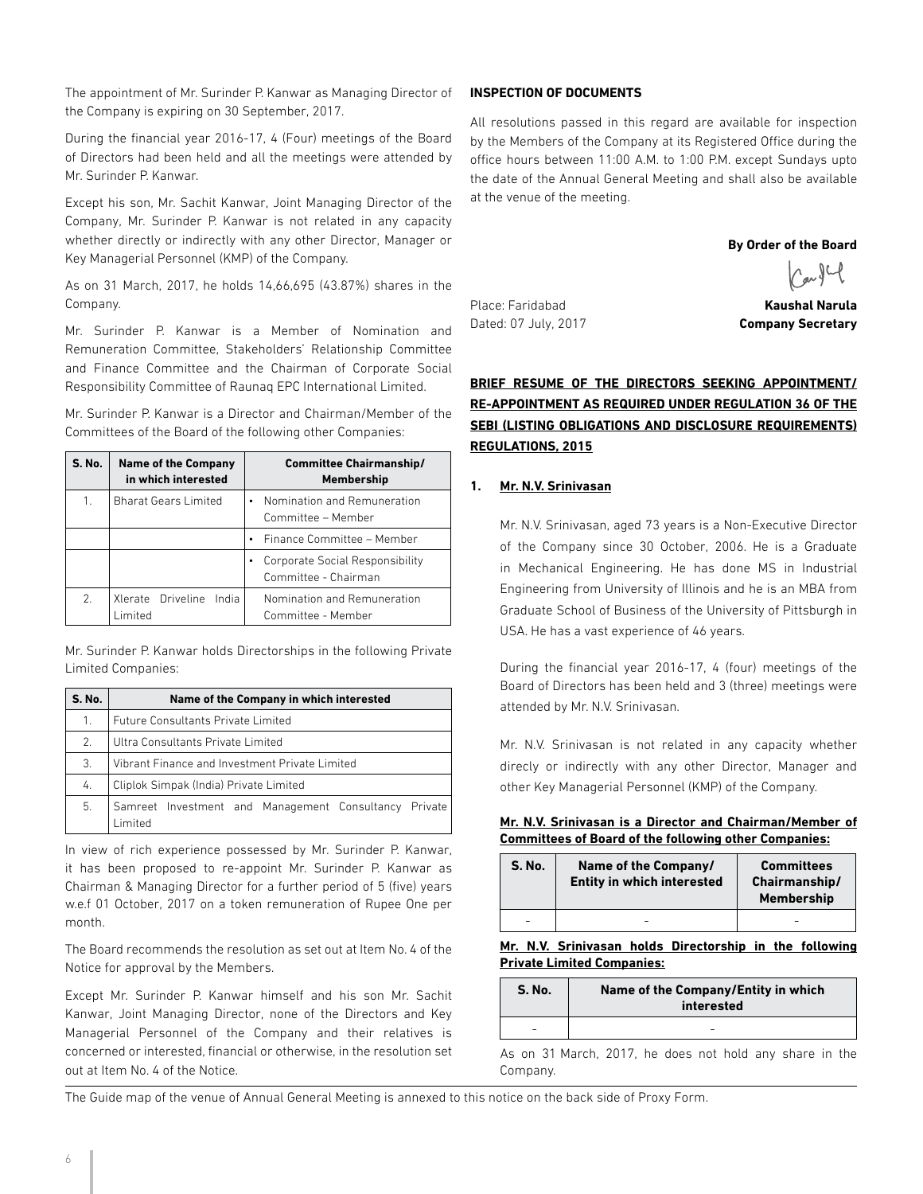The appointment of Mr. Surinder P. Kanwar as Managing Director of the Company is expiring on 30 September, 2017.

During the financial year 2016-17, 4 (Four) meetings of the Board of Directors had been held and all the meetings were attended by Mr. Surinder P. Kanwar.

Except his son, Mr. Sachit Kanwar, Joint Managing Director of the Company, Mr. Surinder P. Kanwar is not related in any capacity whether directly or indirectly with any other Director, Manager or Key Managerial Personnel (KMP) of the Company.

As on 31 March, 2017, he holds 14,66,695 (43.87%) shares in the Company.

Mr. Surinder P. Kanwar is a Member of Nomination and Remuneration Committee, Stakeholders' Relationship Committee and Finance Committee and the Chairman of Corporate Social Responsibility Committee of Raunaq EPC International Limited.

Mr. Surinder P. Kanwar is a Director and Chairman/Member of the Committees of the Board of the following other Companies:

| <b>S. No.</b> | <b>Name of the Company</b><br>in which interested | <b>Committee Chairmanship/</b><br><b>Membership</b>     |
|---------------|---------------------------------------------------|---------------------------------------------------------|
| 1.            | <b>Bharat Gears Limited</b>                       | Nomination and Remuneration<br>Committee - Member       |
|               |                                                   | Finance Committee - Member                              |
|               |                                                   | Corporate Social Responsibility<br>Committee - Chairman |
| 2.            | Xlerate Driveline<br>India<br>I imited            | Nomination and Remuneration<br>Committee - Member       |

Mr. Surinder P. Kanwar holds Directorships in the following Private Limited Companies:

| <b>S. No.</b> | Name of the Company in which interested                         |  |  |  |
|---------------|-----------------------------------------------------------------|--|--|--|
| 1.            | <b>Future Consultants Private Limited</b>                       |  |  |  |
| 2.            | Ultra Consultants Private Limited                               |  |  |  |
| 3.            | Vibrant Finance and Investment Private Limited                  |  |  |  |
| 4.            | Cliplok Simpak (India) Private Limited                          |  |  |  |
| 5.            | Samreet Investment and Management Consultancy Private<br>imited |  |  |  |

In view of rich experience possessed by Mr. Surinder P. Kanwar, it has been proposed to re-appoint Mr. Surinder P. Kanwar as Chairman & Managing Director for a further period of 5 (five) years w.e.f 01 October, 2017 on a token remuneration of Rupee One per month.

The Board recommends the resolution as set out at Item No. 4 of the Notice for approval by the Members.

Except Mr. Surinder P. Kanwar himself and his son Mr. Sachit Kanwar, Joint Managing Director, none of the Directors and Key Managerial Personnel of the Company and their relatives is concerned or interested, financial or otherwise, in the resolution set out at Item No. 4 of the Notice.

#### **INSPECTION OF DOCUMENTS**

All resolutions passed in this regard are available for inspection by the Members of the Company at its Registered Office during the office hours between 11:00 A.M. to 1:00 P.M. except Sundays upto the date of the Annual General Meeting and shall also be available at the venue of the meeting.

#### **By Order of the Board**

 $\bigwedge_{\alpha\in\mathcal{C}}\mathcal{G}\cup\mathcal{C}$ 

Place: Faridabad **Kaushal Narula** Dated: 07 July, 2017 **Company Secretary**

# **BRIEF RESUME OF THE DIRECTORS SEEKING APPOINTMENT/ RE-APPOINTMENT AS REQUIRED UNDER REGULATION 36 OF THE SEBI (LISTING OBLIGATIONS AND DISCLOSURE REQUIREMENTS) REGULATIONS, 2015**

## **1. Mr. N.V. Srinivasan**

Mr. N.V. Srinivasan, aged 73 years is a Non-Executive Director of the Company since 30 October, 2006. He is a Graduate in Mechanical Engineering. He has done MS in Industrial Engineering from University of Illinois and he is an MBA from Graduate School of Business of the University of Pittsburgh in USA. He has a vast experience of 46 years.

During the financial year 2016-17, 4 (four) meetings of the Board of Directors has been held and 3 (three) meetings were attended by Mr. N.V. Srinivasan.

Mr. N.V. Srinivasan is not related in any capacity whether direcly or indirectly with any other Director, Manager and other Key Managerial Personnel (KMP) of the Company.

#### **Mr. N.V. Srinivasan is a Director and Chairman/Member of Committees of Board of the following other Companies:**

| <b>S. No.</b> | Name of the Company/<br><b>Entity in which interested</b> | <b>Committees</b><br>Chairmanship/<br><b>Membership</b> |
|---------------|-----------------------------------------------------------|---------------------------------------------------------|
|               |                                                           |                                                         |

**Mr. N.V. Srinivasan holds Directorship in the following Private Limited Companies:**

| <b>S. No.</b> | Name of the Company/Entity in which<br>interested |  |
|---------------|---------------------------------------------------|--|
|               |                                                   |  |

As on 31 March, 2017, he does not hold any share in the Company.

The Guide map of the venue of Annual General Meeting is annexed to this notice on the back side of Proxy Form.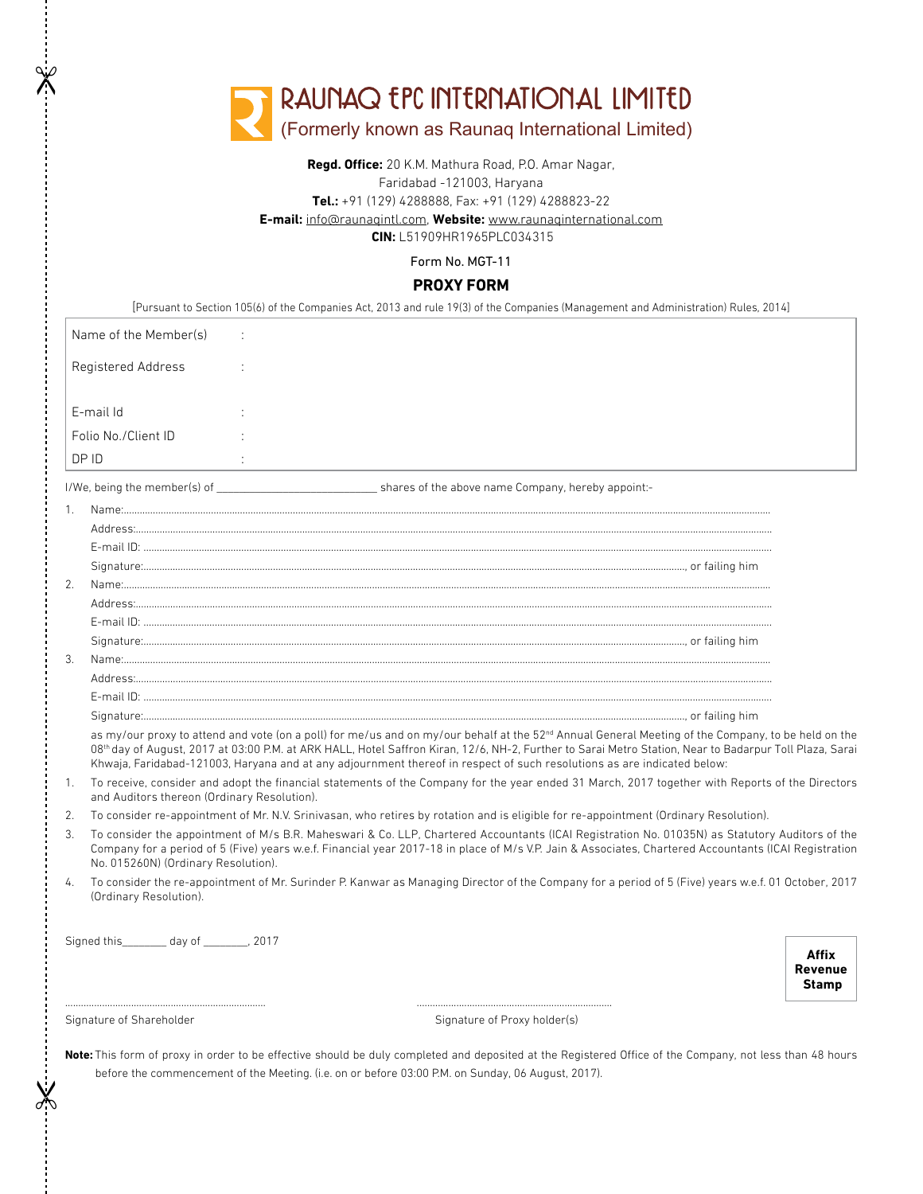|    |                                                                                                                                                                                                                                                                                                                                                | RAUNAQ EPC INTERNATIONAL LIMITED<br>(Formerly known as Raunaq International Limited)                                                                                                                                                                                                                                                                                                                                                                 |                                  |
|----|------------------------------------------------------------------------------------------------------------------------------------------------------------------------------------------------------------------------------------------------------------------------------------------------------------------------------------------------|------------------------------------------------------------------------------------------------------------------------------------------------------------------------------------------------------------------------------------------------------------------------------------------------------------------------------------------------------------------------------------------------------------------------------------------------------|----------------------------------|
|    |                                                                                                                                                                                                                                                                                                                                                | Regd. Office: 20 K.M. Mathura Road, P.O. Amar Nagar,<br>Faridabad -121003, Haryana<br>Tel.: +91 (129) 4288888, Fax: +91 (129) 4288823-22<br>E-mail: info@raunagintl.com, Website: www.raunaginternational.com<br><b>CIN: L51909HR1965PLC034315</b>                                                                                                                                                                                                   |                                  |
|    |                                                                                                                                                                                                                                                                                                                                                | Form No. MGT-11                                                                                                                                                                                                                                                                                                                                                                                                                                      |                                  |
|    |                                                                                                                                                                                                                                                                                                                                                | <b>PROXY FORM</b>                                                                                                                                                                                                                                                                                                                                                                                                                                    |                                  |
|    |                                                                                                                                                                                                                                                                                                                                                | [Pursuant to Section 105(6) of the Companies Act, 2013 and rule 19(3) of the Companies (Management and Administration) Rules, 2014]                                                                                                                                                                                                                                                                                                                  |                                  |
|    | Name of the Member(s)                                                                                                                                                                                                                                                                                                                          |                                                                                                                                                                                                                                                                                                                                                                                                                                                      |                                  |
|    | Registered Address                                                                                                                                                                                                                                                                                                                             |                                                                                                                                                                                                                                                                                                                                                                                                                                                      |                                  |
|    | E-mail Id                                                                                                                                                                                                                                                                                                                                      |                                                                                                                                                                                                                                                                                                                                                                                                                                                      |                                  |
|    | Folio No./Client ID                                                                                                                                                                                                                                                                                                                            |                                                                                                                                                                                                                                                                                                                                                                                                                                                      |                                  |
|    | DP ID                                                                                                                                                                                                                                                                                                                                          |                                                                                                                                                                                                                                                                                                                                                                                                                                                      |                                  |
| 1. |                                                                                                                                                                                                                                                                                                                                                |                                                                                                                                                                                                                                                                                                                                                                                                                                                      |                                  |
|    |                                                                                                                                                                                                                                                                                                                                                |                                                                                                                                                                                                                                                                                                                                                                                                                                                      |                                  |
|    |                                                                                                                                                                                                                                                                                                                                                |                                                                                                                                                                                                                                                                                                                                                                                                                                                      |                                  |
|    |                                                                                                                                                                                                                                                                                                                                                |                                                                                                                                                                                                                                                                                                                                                                                                                                                      |                                  |
| 2. |                                                                                                                                                                                                                                                                                                                                                |                                                                                                                                                                                                                                                                                                                                                                                                                                                      |                                  |
|    |                                                                                                                                                                                                                                                                                                                                                |                                                                                                                                                                                                                                                                                                                                                                                                                                                      |                                  |
|    |                                                                                                                                                                                                                                                                                                                                                |                                                                                                                                                                                                                                                                                                                                                                                                                                                      |                                  |
|    |                                                                                                                                                                                                                                                                                                                                                |                                                                                                                                                                                                                                                                                                                                                                                                                                                      |                                  |
| 3. |                                                                                                                                                                                                                                                                                                                                                |                                                                                                                                                                                                                                                                                                                                                                                                                                                      |                                  |
|    |                                                                                                                                                                                                                                                                                                                                                |                                                                                                                                                                                                                                                                                                                                                                                                                                                      |                                  |
|    |                                                                                                                                                                                                                                                                                                                                                |                                                                                                                                                                                                                                                                                                                                                                                                                                                      |                                  |
|    |                                                                                                                                                                                                                                                                                                                                                |                                                                                                                                                                                                                                                                                                                                                                                                                                                      |                                  |
|    |                                                                                                                                                                                                                                                                                                                                                | as my/our proxy to attend and vote (on a poll) for me/us and on my/our behalf at the 52 <sup>nd</sup> Annual General Meeting of the Company, to be held on the<br>08th day of August, 2017 at 03:00 P.M. at ARK HALL, Hotel Saffron Kiran, 12/6, NH-2, Further to Sarai Metro Station, Near to Badarpur Toll Plaza, Sarai<br>Khwaja, Faridabad-121003, Haryana and at any adjournment thereof in respect of such resolutions as are indicated below: |                                  |
| 1. | To receive, consider and adopt the financial statements of the Company for the year ended 31 March, 2017 together with Reports of the Directors<br>and Auditors thereon (Ordinary Resolution).                                                                                                                                                 |                                                                                                                                                                                                                                                                                                                                                                                                                                                      |                                  |
| 2. |                                                                                                                                                                                                                                                                                                                                                | To consider re-appointment of Mr. N.V. Srinivasan, who retires by rotation and is eligible for re-appointment (Ordinary Resolution).                                                                                                                                                                                                                                                                                                                 |                                  |
| 3. | To consider the appointment of M/s B.R. Maheswari & Co. LLP, Chartered Accountants (ICAI Registration No. 01035N) as Statutory Auditors of the<br>Company for a period of 5 (Five) years w.e.f. Financial year 2017-18 in place of M/s V.P. Jain & Associates, Chartered Accountants (ICAI Registration<br>No. 015260N) (Ordinary Resolution). |                                                                                                                                                                                                                                                                                                                                                                                                                                                      |                                  |
| 4. | (Ordinary Resolution).                                                                                                                                                                                                                                                                                                                         | To consider the re-appointment of Mr. Surinder P. Kanwar as Managing Director of the Company for a period of 5 (Five) years w.e.f. 01 October, 2017                                                                                                                                                                                                                                                                                                  |                                  |
|    |                                                                                                                                                                                                                                                                                                                                                |                                                                                                                                                                                                                                                                                                                                                                                                                                                      |                                  |
|    | Signed this________ day of ________, 2017                                                                                                                                                                                                                                                                                                      |                                                                                                                                                                                                                                                                                                                                                                                                                                                      | Affix<br>Revenue<br><b>Stamp</b> |
|    | Signature of Shareholder                                                                                                                                                                                                                                                                                                                       | Signature of Proxy holder(s)                                                                                                                                                                                                                                                                                                                                                                                                                         |                                  |
|    |                                                                                                                                                                                                                                                                                                                                                | Note: This form of proxy in order to be effective should be duly completed and deposited at the Registered Office of the Company, not less than 48 hours<br>before the commencement of the Meeting. (i.e. on or before 03:00 P.M. on Sunday, 06 August, 2017).                                                                                                                                                                                       |                                  |

 $\frac{1}{2}$ 

 $\mathbb{\mathbb{X}}$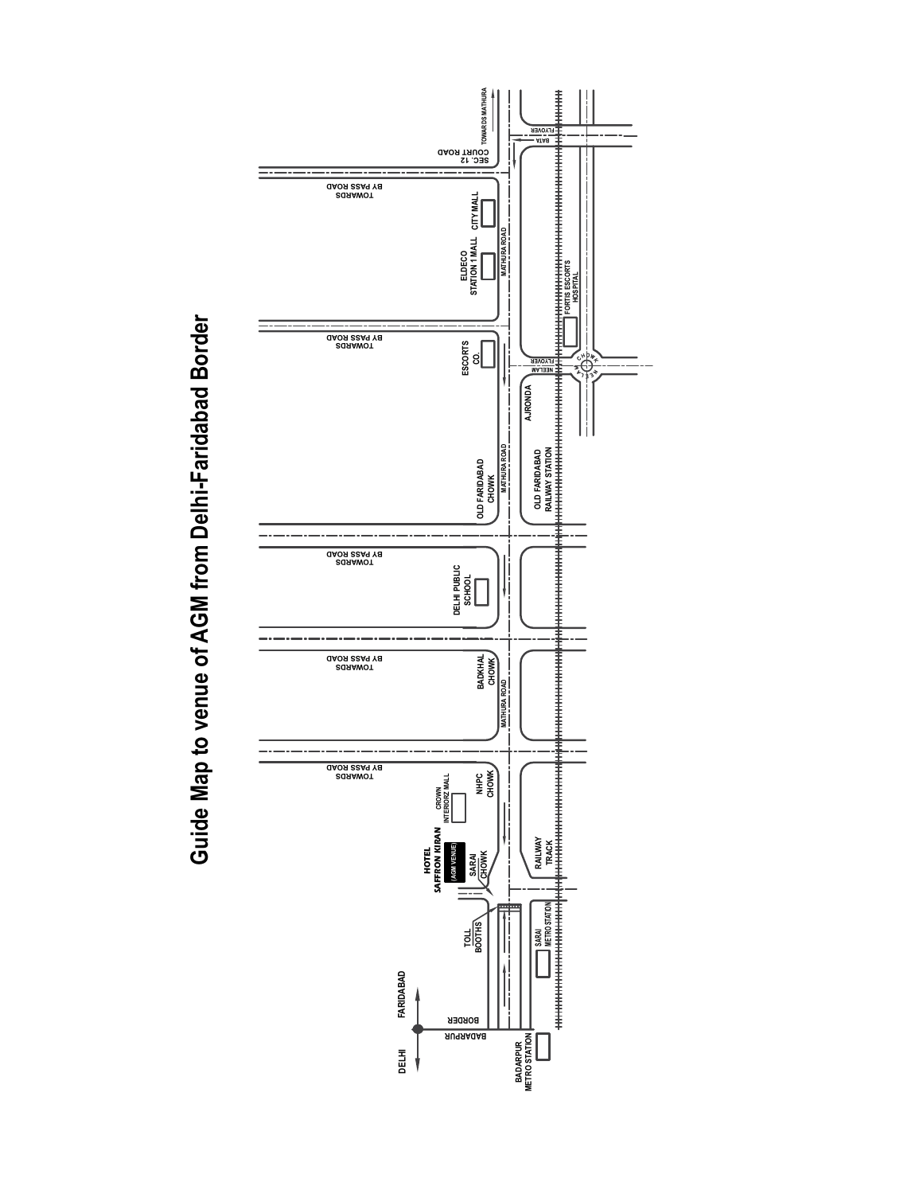

Guide Map to venue of AGM from Delhi-Faridabad Border **Guide Map to venue of AGM from Delhi-Faridabad Border**